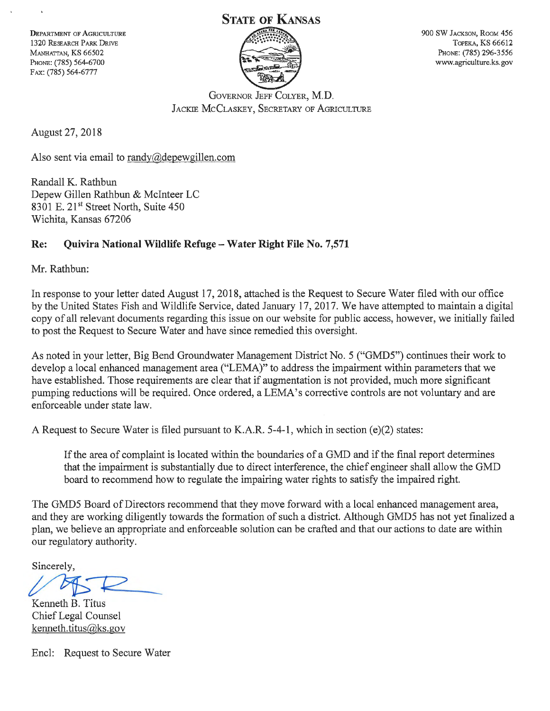# **STATE OF KANSAS**

DEPARTMENT OF AGRICULTURE 1320 RESEARCH PARK DRIVE MANHATTAN, KS 66502 PHoNE: (785) 564-6700 FAX: (785) 564-6777



900 SW JACKSON, RooM 456 TOPEKA, KS 66612 PHoNE: (785) 296-3556 www.agriculture.ks.gov

GoVERNOR JEFF COLYER, M.D. JACKIE MCCLASKEY, SECRETARY OF AGRICULTURE

August 27, 2018

Also sent via email to randy@depewgillen.com

Randall K. Rathbun Depew Gillen Rathbun & Mclnteer LC 8301 E. 21<sup>st</sup> Street North, Suite 450 Wichita, Kansas 67206

# **Re: Quivira National Wildlife Refuge- Water Right File No. 7,571**

Mr. Rathbun:

In response to your letter dated August 17, 2018, attached is the Request to Secure Water filed with our office by the United States Fish and Wildlife Service, dated January 17, 2017. We have attempted to maintain a digital copy of all relevant documents regarding this issue on our website for public access, however, we initially failed to post the Request to Secure Water and have since remedied this oversight.

As noted in your letter, Big Bend Groundwater Management District No. 5 ("GMD5") continues their work to develop a local enhanced management area ("LEMA)" to address the impairment within parameters that we have established. Those requirements are clear that if augmentation is not provided, much more significant pumping reductions will be required. Once ordered, a LEMA's corrective controls are not voluntary and are enforceable under state law.

A Request to Secure Water is filed pursuant to K.A.R. 5-4-1, which in section (e)(2) states:

If the area of complaint is located within the boundaries of a GMD and if the final report determines that the impairment is substantially due to direct interference, the chief engineer shall allow the GMD board to recommend how to regulate the impairing water rights to satisfy the impaired right.

The GMD5 Board of Directors recommend that they move forward with a local enhanced management area, and they are working diligently towards the formation of such a district. Although GMD5 has not yet finalized a plan, we believe an appropriate and enforceable solution can be crafted and that our actions to date are within our regulatory authority.

Sincerely,

Sincerely,<br> $\sqrt{B}$ 

Kenneth B. Titus Chief Legal Counsel kenneth.titus@ks.gov

Encl: Request to Secure Water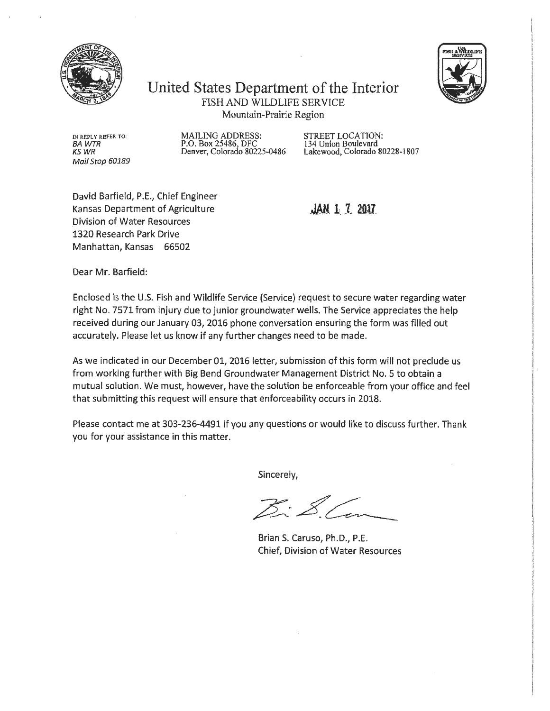



United States Department of the Jnterior FISH AND WILDLIFE SERVICE Mountain-Prairie Region

IN REPLY REFER TO: BA WTR KSWR Mail Stop 60189

MAILING ADDRESS: P.O. Box 25486, DFC Denver, Colorado 80225-0486 STREET LOCATION: 134 Union Boulevard Lakewood, Colorado 80228-1807

David Barfield, P.E., Chief Engineer Kansas Department of Agriculture Division of Water Resources 1320 Research Park Drive Manhattan, Kansas 66502

**JAN 1 7 2017** 

Dear Mr. Barfield:

Enclosed is the U.S. Fish and Wildlife Service (Service) request to secure water regarding water right No. 7571 from injury due to junior groundwater wells. The Service appreciates the help received during our January 03, 2016 phone conversation ensuring the form was filled out accurately. Please let us know if any further changes need to be made.

As we indicated in our December 01, 2016 letter, submission of this form will not preclude us from working further with Big Bend Groundwater Management District No. 5 to obtain a mutual solution. We must, however, have the solution be enforceable from your office and feel that submitting this request will ensure that enforceability occurs in 2018.

Please contact me at 303-236-4491 if you any questions or would like to discuss further. Thank you for your assistance in this matter.

Sincerely,

 $\mathcal{Z} \cdot \mathcal{Z}$ 

Brian S. Caruso, Ph.D., P.E. Chief, Division of Water Resources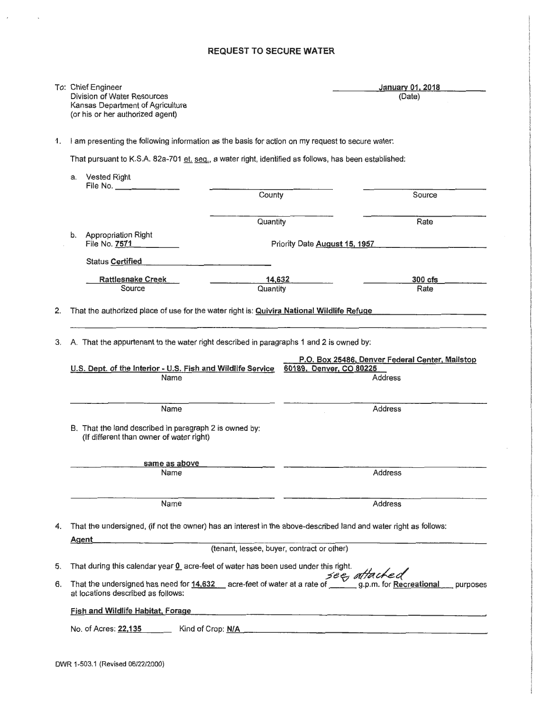## REQUEST TO SECURE WATER

|          | To: Chief Engineer<br>Division of Water Resources<br>Kansas Department of Agriculture<br>(or his or her authorized agent)                                                            |                                                 | January 01, 2018<br>(Date)                                  |
|----------|--------------------------------------------------------------------------------------------------------------------------------------------------------------------------------------|-------------------------------------------------|-------------------------------------------------------------|
| 1.       | I am presenting the following information as the basis for action on my request to secure water:                                                                                     |                                                 |                                                             |
|          | That pursuant to K.S.A. 82a-701 et. seq., a water right, identified as follows, has been established:                                                                                |                                                 |                                                             |
|          | <b>Vested Right</b><br>а.<br>File No. $\qquad \qquad$                                                                                                                                |                                                 |                                                             |
|          |                                                                                                                                                                                      | County                                          | Source                                                      |
|          |                                                                                                                                                                                      | Quantity                                        | Rate                                                        |
|          | Appropriation Right<br>b.<br>File No. 7571                                                                                                                                           | Priority Date August 15, 1957                   |                                                             |
|          | Status Certified                                                                                                                                                                     |                                                 |                                                             |
|          | <b>Rattlesnake Creek</b>                                                                                                                                                             | 14,632                                          | $300$ $cfs$                                                 |
|          | Source                                                                                                                                                                               | Quantity                                        | Rate                                                        |
| 2.<br>3. | That the authorized place of use for the water right is: Quivira National Wildlife Refuge<br>A. That the appurtenant to the water right described in paragraphs 1 and 2 is owned by: | P.O. Box 25486, Denver Federal Center, Mailstop |                                                             |
|          | U.S. Dept. of the Interior - U.S. Fish and Wildlife Service 60189, Denver, CO 80225                                                                                                  |                                                 |                                                             |
|          | Name                                                                                                                                                                                 |                                                 | <b>Address</b>                                              |
|          | Name                                                                                                                                                                                 |                                                 | <b>Address</b>                                              |
|          | B. That the land described in paragraph 2 is owned by:<br>(If different than owner of water right)                                                                                   |                                                 |                                                             |
|          | same as above                                                                                                                                                                        |                                                 |                                                             |
|          | Name                                                                                                                                                                                 |                                                 | <b>Address</b>                                              |
|          | Name                                                                                                                                                                                 |                                                 | <b>Address</b>                                              |
| 4.       | That the undersigned, (if not the owner) has an interest in the above-described land and water right as follows:                                                                     |                                                 |                                                             |
|          | Agent                                                                                                                                                                                | (tenant, lessee, buyer, contract or other)      |                                                             |
| 5.       | That during this calendar year 0 acre-feet of water has been used under this right.                                                                                                  |                                                 |                                                             |
| 6.       | That the undersigned has need for 14,632 acre-feet of water at a rate of $\frac{see}{\sqrt{space}}$ a.p.m. for Recreational<br>at locations described as follows:                    |                                                 | purposes                                                    |
|          | Fish and Wildlife Habitat, Forage                                                                                                                                                    |                                                 | <u> 1980 - Andrea Andrews, amerikansk politik (d. 1980)</u> |
|          | Kind of Crop: N/A<br>No. of Acres: 22,135                                                                                                                                            |                                                 |                                                             |
|          |                                                                                                                                                                                      |                                                 |                                                             |

 $\cdot$ 

 $\bar{r}$ 

 $\overline{\phantom{a}}$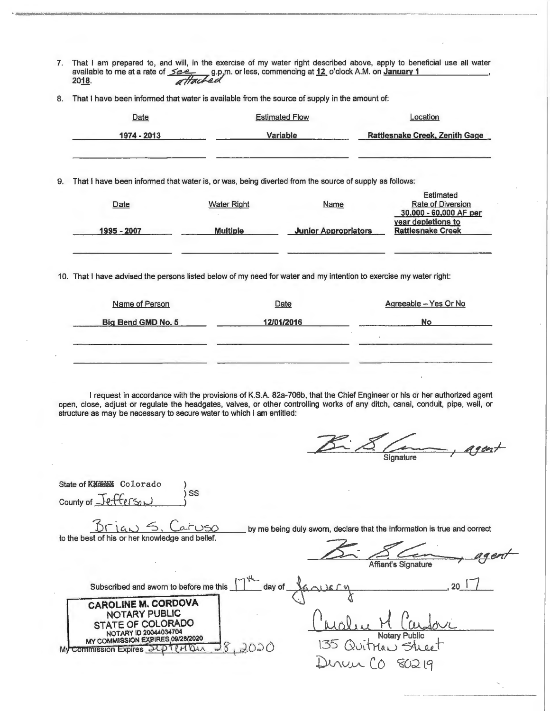- 7. That I am prepared to, and will, in the exercise of my water right described above, apply to beneficial use all water nat I am prepared to, and will, in the exercise of my water right described above, apply to ben<br>available to me at a rate of <u>see, g.p</u>.m. or less, commencing at <u>12</u> o'clock A.M. on **January 1** 20<u>18</u>. *attached*
- 8. That I have been informed that water is available from the source of supply in the amount of:

|    | Date                                                                                                               |                    | <b>Estimated Flow</b>       | Location                                                               |
|----|--------------------------------------------------------------------------------------------------------------------|--------------------|-----------------------------|------------------------------------------------------------------------|
|    | 1974 - 2013                                                                                                        |                    | Variable                    | <b>Rattlesnake Creek, Zenith Gage</b>                                  |
| 9. | That I have been informed that water is, or was, being diverted from the source of supply as follows:              |                    |                             |                                                                        |
|    | Date                                                                                                               | <b>Water Right</b> | Name                        | <b>Estimated</b><br><b>Rate of Diversion</b><br>30,000 - 60,000 AF per |
|    | 1995 - 2007                                                                                                        | <b>Multiple</b>    | <b>Junior Appropriators</b> | year depletions to<br><b>Rattlesnake Creek</b>                         |
|    | 10. That I have advised the persons listed below of my need for water and my intention to exercise my water right: |                    |                             |                                                                        |
|    | Name of Person                                                                                                     |                    | Date                        | Agreeable - Yes Or No                                                  |

| Big Bend GMD No. 5 | 12/01/2016 | No |
|--------------------|------------|----|
|                    |            |    |
|                    |            |    |

I request in accordance with the provisions of K.S.A. 82a-706b, that the Chief Engineer or his or her authorized agent open, close, adjust or regulate the headgates, valves, or other controlling works of any ditch, canal, conduit, pipe, well, or structure as may be necessary to secure water to which I am entitled:

 $\frac{8}{\sqrt{2}}$  Signature agent

| State of Kadeay Colorado                                                                                                                                                     |                                                                                                        |
|------------------------------------------------------------------------------------------------------------------------------------------------------------------------------|--------------------------------------------------------------------------------------------------------|
| SS<br>County of Jefferson                                                                                                                                                    |                                                                                                        |
| Brian S. Caruso<br>to the best of his or her knowledge and belief.                                                                                                           | by me being duly sworn, declare that the information is true and correct<br><b>Affiant's Signature</b> |
| Subscribed and sworn to before me this $\prod^{\mu}$ day of                                                                                                                  | MAISCO                                                                                                 |
| <b>CAROLINE M. CORDOVA</b><br>NOTARY PUBLIC<br>STATE OF COLORADO<br>NOTARY ID 20044034704<br>MY COMMISSION EXPIRES 09/28/2020<br>2020<br><b>Commission Expires JUP</b><br>My | Notary Public<br>135 Quitrian 54 00                                                                    |
|                                                                                                                                                                              | Denvis CO<br>80219                                                                                     |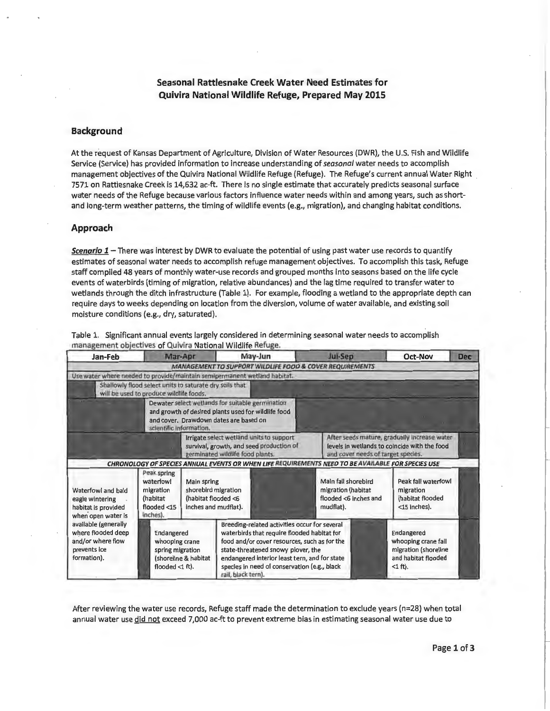### Seasonal Rattlesnake Creek Water Need Estimates for Quivira National Wildlife Refuge, Prepared May 2015

### Background

At the request of Kansas Department of Agriculture, Division of Water Resources (DWR), the U.S. Fish and Wildlife Service (Service) has provided information to increase understanding of *seasonal* water needs to accomplish management objectives of the Quivira National Wildlife Refuge (Refuge). The Refuge's current annual Water Right 7571 on Rattlesnake Creek is 14,632 ac-ft. There is no single estimate that accurately predicts seasonal surface water needs of the Refuge because various factors influence water needs within and among years, such as shortand long-term weather patterns, the timing of wildlife events (e.g., migration), and changing habitat conditions.

#### Approach

*Scenario 1* -There was interest by DWR to evaluate the potential of using past water use records to quantify estimates of seasonal water needs to accomplish refuge management objectives. To accomplish this task, Refuge staff compiled 48 years of monthly water-use records and grouped months into seasons based on the life cycle events of waterbirds (timing of migration, relative abundances) and the lag time required to transfer water to wetlands through the ditch infrastructure (Table 1). For example, flooding a wetland to the appropriate depth can require days to weeks depending on location from the diversion, volume of water available, and existing soil moisture conditions (e.g., dry, saturated).

|                                                                                                |                                                                                                    |                                                                                   | management objectives of Quivira National Wildlife Refuge.                                                                                                                                                                                                                                                |                                                                                 | Oct-Nov                                                                                        |            |
|------------------------------------------------------------------------------------------------|----------------------------------------------------------------------------------------------------|-----------------------------------------------------------------------------------|-----------------------------------------------------------------------------------------------------------------------------------------------------------------------------------------------------------------------------------------------------------------------------------------------------------|---------------------------------------------------------------------------------|------------------------------------------------------------------------------------------------|------------|
| Jan-Feb                                                                                        | Mar-Apr                                                                                            |                                                                                   | May-Jun                                                                                                                                                                                                                                                                                                   | Jul-Sep                                                                         |                                                                                                | <b>Dec</b> |
|                                                                                                |                                                                                                    |                                                                                   | MANAGEMENT TO SUPPORT WILDLIFE FOOD & COVER REQUIREMENTS                                                                                                                                                                                                                                                  |                                                                                 |                                                                                                |            |
|                                                                                                |                                                                                                    |                                                                                   | Use water where needed to provide/maintain semipermanent wetland habitat.                                                                                                                                                                                                                                 |                                                                                 |                                                                                                |            |
|                                                                                                | Shallowly flood select units to saturate dry soils that<br>will be used to produce wildlife foods. |                                                                                   |                                                                                                                                                                                                                                                                                                           |                                                                                 |                                                                                                |            |
|                                                                                                | scientific information.                                                                            |                                                                                   | Dewater select wetlands for suitable germination<br>and growth of desired plants used for wildlife food<br>and cover. Drawdown dates are based on                                                                                                                                                         |                                                                                 |                                                                                                |            |
|                                                                                                |                                                                                                    |                                                                                   | Irrigate select wetland units to support<br>survival, growth, and seed production of<br>germinated wildlife food plants.                                                                                                                                                                                  | and cover needs of target species.                                              | After seeds mature, gradually increase water<br>levels in wetlands to coincide with the food   |            |
|                                                                                                |                                                                                                    |                                                                                   | CHRONOLOGY OF SPECIES ANNUAL EVENTS OR WHEN LIFE REQUIREMENTS NEED TO BE AVAILABLE FOR SPECIES USE                                                                                                                                                                                                        |                                                                                 |                                                                                                |            |
| Waterfowl and bald<br>eagle wintering<br>habitat is provided<br>when open water is             | Peak spring<br>waterfowl<br>migration<br>(habitat<br>flooded <15<br>inches).                       | Main spring<br>shorebird migration<br>(habitat flooded <6<br>inches and mudflat). |                                                                                                                                                                                                                                                                                                           | Main fall shorebird<br>migration (habitat<br>flooded <6 inches and<br>mudflat). | Peak fall waterfowl<br>migration<br>(habitat flooded<br><15 inches).                           |            |
| available (generally<br>where flooded deep<br>and/or where flow<br>prevents ice<br>formation). | Endangered<br>whooping crane<br>spring migration<br>flooded <1 ft).                                | (shoreline & habitat                                                              | Breeding-related activities occur for several<br>waterbirds that require flooded habitat for<br>food and/or cover resources, such as for the<br>state-threatened snowy plover, the<br>endangered interior least tern, and for state<br>species in need of conservation (e.g., black<br>rail, black tern). |                                                                                 | Endangered<br>whooping crane fall<br>migration (shoreline<br>and habitat flooded<br>$<$ 1 ft). |            |

Table 1. Significant annual events largely considered in determining seasonal water needs to accomplish

After reviewing the water use records, Refuge staff made the determination to exclude years (n=28) when total annual water use did not exceed 7,000 ac-ft to prevent extreme bias in estimating seasonal water use due to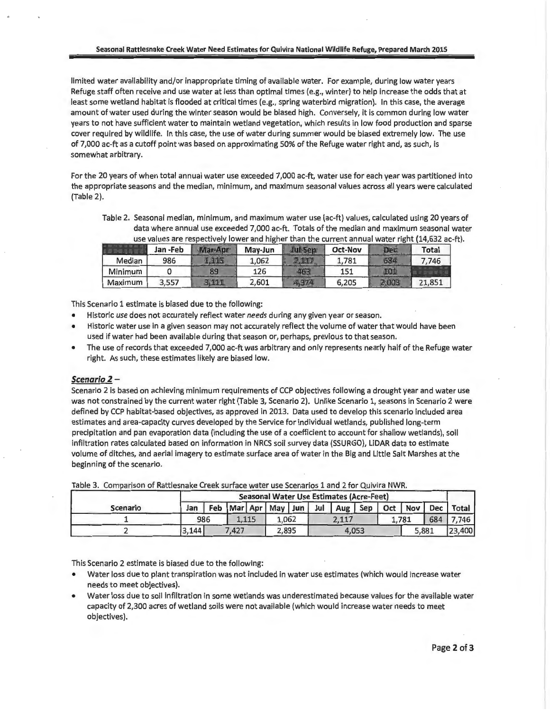limited water availability and/or inappropriate timing of available water. For example, during low water years Refuge staff often receive and use water at less than optimal times (e.g., winter) to help increase the odds that at least some wetland habitat is flooded at critical times (e.g., spring waterbird migration). In this case, the average amount of water used during the winter season would be biased high. Conversely, it is common during low water years to not have sufficient water to maintain wetland vegetation, which results in low food production and sparse cover required by wildlife. In this case, the use of water during summer would be biased extremely low. The use of 7,000 ac-ft as a cutoff point was based on approximating 50% of the Refuge water right and, as such, is somewhat arbitrary.

For the 20 years of when total annual water use exceeded 7,000 ac-ft, water use for each year was partitioned into the appropriate seasons and the median, minimum, and maximum seasonal values across all years were calculated (Table 2).

Table 2. Seasonal median, minimum, and maximum water use (ac-ft) values, calculated using 20 years of data where annual use exceeded 7,000 ac-ft. Totals of the median and maximum seasonal water use values are respectively lower and higher than the current annual water right (14.632 ac-ft).

|         | Jan -Feb | Mar-Apr | May-Jun | <b>Jul-Sen</b> | <b>Oct-Nov</b> | Dec   | <b>Total</b> |
|---------|----------|---------|---------|----------------|----------------|-------|--------------|
| Median  | 986      |         | 1,062   |                | 1.781          | 684   | 7.746        |
| Minimum |          | 89      | 126     |                | 151            |       |              |
| Maximum | 3.557    | 3.111   | 2,601   | 4,374          | 6,205          | 2.003 | 21,851       |

This Scenario 1 estimate is biased due to the following:

- Historic *use* does not accurately reflect water *needs* during any given year or season.
- Historic water use in a given season may not accurately reflect the volume of water that would have been used if water had been available during that season or, perhaps, previous to that season.
- The use of records that exceeded 7,000 ac-ft was arbitrary and only represents nearly half of the Refuge water right. As such, these estimates likely are biased low.

#### Scenario 2-

Scenario 2 is based on achieving minimum requirements of CCP objectives following a drought year and water use was not constrained by the current water right (Table 3, Scenario 2). Unlike Scenario 1, seasons in Scenario 2 were defined by CCP habitat-based objectives, as approved in 2013. Data used to develop this scenario included area estimates and area-capacity curves developed by the Service for individual wetlands, published long-term precipitation and pan evaporation data (including the use of a coefficient to account for shallow wetlands), soil infiltration rates calculated based on information in NRCS soil survey data (SSURGO), LiDAR data to estimate volume of ditches, and aerial imagery to estimate surface area of water in the Big and Little Salt Marshes at the beginning of the scenario.

|                 |       |     |       |       |                             |     | <b>Seasonal Water Use Estimates (Acre-Feet)</b> |       |     |       |            |        |
|-----------------|-------|-----|-------|-------|-----------------------------|-----|-------------------------------------------------|-------|-----|-------|------------|--------|
| <b>Scenario</b> | Jan   |     |       |       | Feb   Mar   Apr   May   Jun | Jul | Aug                                             | Sep   | Oct | Nov   | <b>Dec</b> | Total  |
|                 |       | 986 |       | 1.115 | 1.062                       |     | 2.117                                           |       |     | 1.781 | 684        | .746   |
|                 | 3,144 |     | 7.427 |       | 2,895                       |     |                                                 | 4,053 |     | 5,881 |            | 23,400 |

Table 3. Comparison of Rattlesnake Creek surface water use Scenarios 1 and 2 for Quivira NWR.

This Scenario 2 estimate is biased due to the following:

- Water loss due to plant transpiration was not included in water use estimates (which would increase water needs to meet objectives).
- Water loss due to soil infiltration in some wetlands was underestimated because values for the available water capacity of 2,300 acres of wetland soils were not available (which would increase water needs to meet objectives).